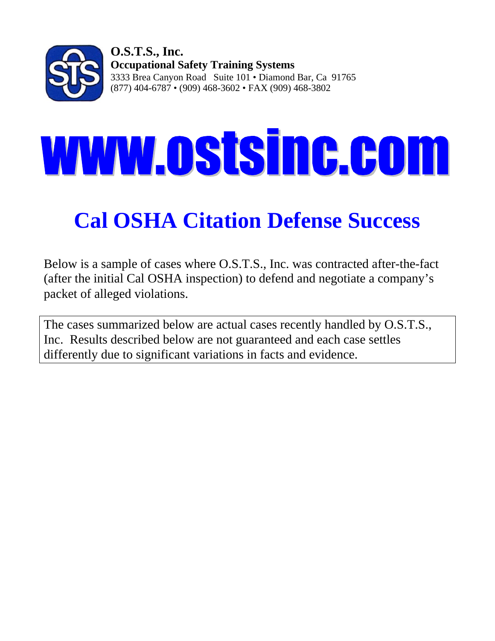

# **WWW.OStsinc.com**

# **Cal OSHA Citation Defense Success**

Below is a sample of cases where O.S.T.S., Inc. was contracted after-the-fact (after the initial Cal OSHA inspection) to defend and negotiate a company's packet of alleged violations.

The cases summarized below are actual cases recently handled by O.S.T.S., Inc. Results described below are not guaranteed and each case settles differently due to significant variations in facts and evidence.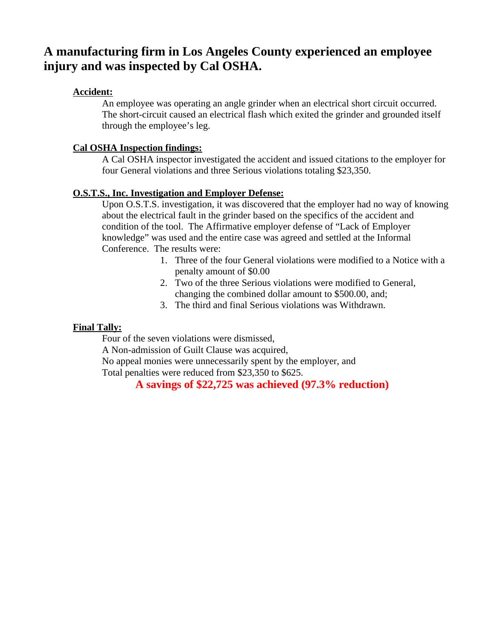## **A manufacturing firm in Los Angeles County experienced an employee injury and was inspected by Cal OSHA.**

#### **Accident:**

An employee was operating an angle grinder when an electrical short circuit occurred. The short-circuit caused an electrical flash which exited the grinder and grounded itself through the employee's leg.

#### **Cal OSHA Inspection findings:**

A Cal OSHA inspector investigated the accident and issued citations to the employer for four General violations and three Serious violations totaling \$23,350.

#### **O.S.T.S., Inc. Investigation and Employer Defense:**

Upon O.S.T.S. investigation, it was discovered that the employer had no way of knowing about the electrical fault in the grinder based on the specifics of the accident and condition of the tool. The Affirmative employer defense of "Lack of Employer knowledge" was used and the entire case was agreed and settled at the Informal Conference. The results were:

- 1. Three of the four General violations were modified to a Notice with a penalty amount of \$0.00
- 2. Two of the three Serious violations were modified to General, changing the combined dollar amount to \$500.00, and;
- 3. The third and final Serious violations was Withdrawn.

#### **Final Tally:**

Four of the seven violations were dismissed,

A Non-admission of Guilt Clause was acquired,

No appeal monies were unnecessarily spent by the employer, and

Total penalties were reduced from \$23,350 to \$625.

## **A savings of \$22,725 was achieved (97.3% reduction)**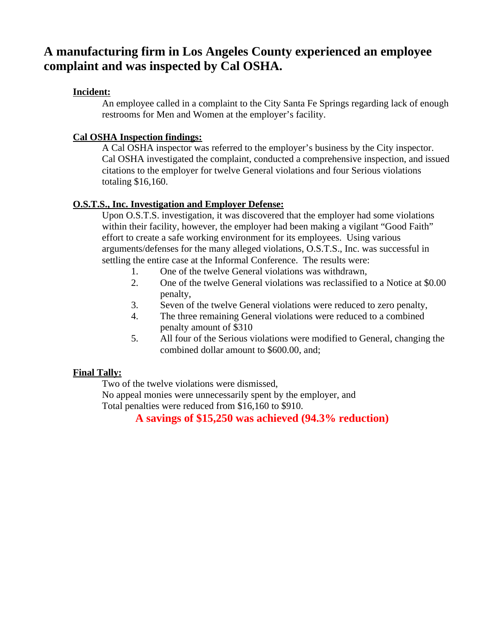## **A manufacturing firm in Los Angeles County experienced an employee complaint and was inspected by Cal OSHA.**

## **Incident:**

An employee called in a complaint to the City Santa Fe Springs regarding lack of enough restrooms for Men and Women at the employer's facility.

## **Cal OSHA Inspection findings:**

A Cal OSHA inspector was referred to the employer's business by the City inspector. Cal OSHA investigated the complaint, conducted a comprehensive inspection, and issued citations to the employer for twelve General violations and four Serious violations totaling \$16,160.

## **O.S.T.S., Inc. Investigation and Employer Defense:**

Upon O.S.T.S. investigation, it was discovered that the employer had some violations within their facility, however, the employer had been making a vigilant "Good Faith" effort to create a safe working environment for its employees. Using various arguments/defenses for the many alleged violations, O.S.T.S., Inc. was successful in settling the entire case at the Informal Conference. The results were:

- 1. One of the twelve General violations was withdrawn,
- 2. One of the twelve General violations was reclassified to a Notice at \$0.00 penalty,
- 3. Seven of the twelve General violations were reduced to zero penalty,
- 4. The three remaining General violations were reduced to a combined penalty amount of \$310
- 5. All four of the Serious violations were modified to General, changing the combined dollar amount to \$600.00, and;

## **Final Tally:**

Two of the twelve violations were dismissed,

No appeal monies were unnecessarily spent by the employer, and Total penalties were reduced from \$16,160 to \$910.

**A savings of \$15,250 was achieved (94.3% reduction)**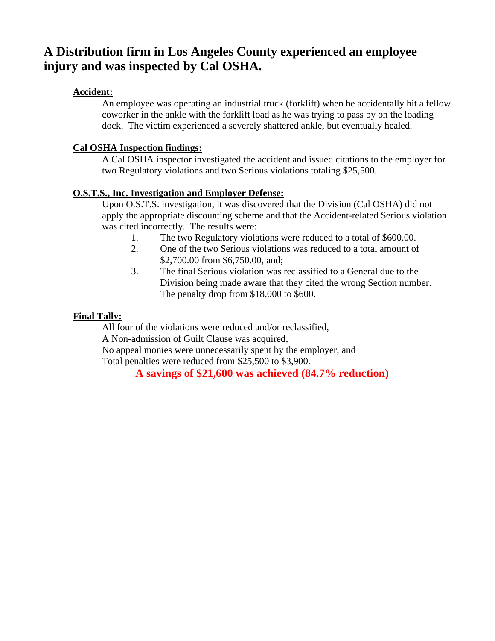## **A Distribution firm in Los Angeles County experienced an employee injury and was inspected by Cal OSHA.**

## **Accident:**

An employee was operating an industrial truck (forklift) when he accidentally hit a fellow coworker in the ankle with the forklift load as he was trying to pass by on the loading dock. The victim experienced a severely shattered ankle, but eventually healed.

## **Cal OSHA Inspection findings:**

A Cal OSHA inspector investigated the accident and issued citations to the employer for two Regulatory violations and two Serious violations totaling \$25,500.

## **O.S.T.S., Inc. Investigation and Employer Defense:**

Upon O.S.T.S. investigation, it was discovered that the Division (Cal OSHA) did not apply the appropriate discounting scheme and that the Accident-related Serious violation was cited incorrectly. The results were:

- 1. The two Regulatory violations were reduced to a total of \$600.00.
- 2. One of the two Serious violations was reduced to a total amount of \$2,700.00 from \$6,750.00, and;
- 3. The final Serious violation was reclassified to a General due to the Division being made aware that they cited the wrong Section number. The penalty drop from \$18,000 to \$600.

## **Final Tally:**

All four of the violations were reduced and/or reclassified, A Non-admission of Guilt Clause was acquired, No appeal monies were unnecessarily spent by the employer, and Total penalties were reduced from \$25,500 to \$3,900.

**A savings of \$21,600 was achieved (84.7% reduction)**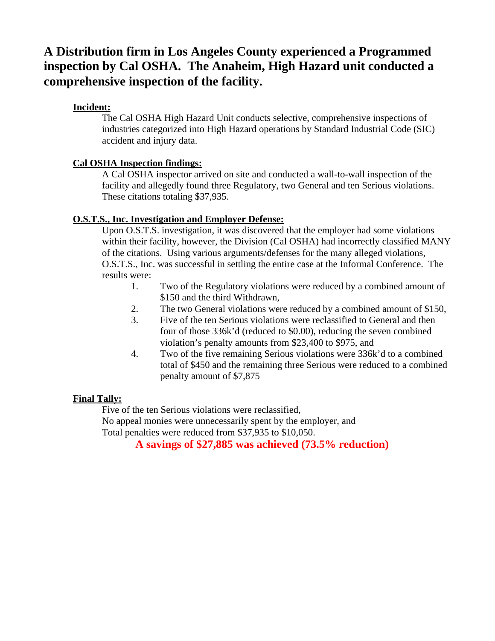## **A Distribution firm in Los Angeles County experienced a Programmed inspection by Cal OSHA. The Anaheim, High Hazard unit conducted a comprehensive inspection of the facility.**

## **Incident:**

The Cal OSHA High Hazard Unit conducts selective, comprehensive inspections of industries categorized into High Hazard operations by Standard Industrial Code (SIC) accident and injury data.

## **Cal OSHA Inspection findings:**

A Cal OSHA inspector arrived on site and conducted a wall-to-wall inspection of the facility and allegedly found three Regulatory, two General and ten Serious violations. These citations totaling \$37,935.

## **O.S.T.S., Inc. Investigation and Employer Defense:**

Upon O.S.T.S. investigation, it was discovered that the employer had some violations within their facility, however, the Division (Cal OSHA) had incorrectly classified MANY of the citations. Using various arguments/defenses for the many alleged violations, O.S.T.S., Inc. was successful in settling the entire case at the Informal Conference. The results were:

- 1. Two of the Regulatory violations were reduced by a combined amount of \$150 and the third Withdrawn,
- 2. The two General violations were reduced by a combined amount of \$150,
- 3. Five of the ten Serious violations were reclassified to General and then four of those 336k'd (reduced to \$0.00), reducing the seven combined violation's penalty amounts from \$23,400 to \$975, and
- 4. Two of the five remaining Serious violations were 336k'd to a combined total of \$450 and the remaining three Serious were reduced to a combined penalty amount of \$7,875

## **Final Tally:**

Five of the ten Serious violations were reclassified,

No appeal monies were unnecessarily spent by the employer, and Total penalties were reduced from \$37,935 to \$10,050.

**A savings of \$27,885 was achieved (73.5% reduction)**